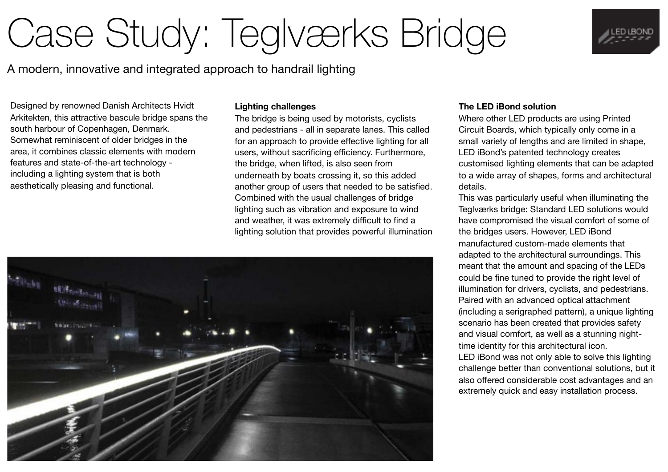## Case Study: Teglværks Bridge

A modern, innovative and integrated approach to handrail lighting

Designed by renowned Danish Architects Hvidt Arkitekten, this attractive bascule bridge spans the south harbour of Copenhagen, Denmark. Somewhat reminiscent of older bridges in the area, it combines classic elements with modern features and state-of-the-art technology including a lighting system that is both aesthetically pleasing and functional.

## **Lighting challenges**

The bridge is being used by motorists, cyclists and pedestrians - all in separate lanes. This called for an approach to provide effective lighting for all users, without sacrificing efficiency. Furthermore, the bridge, when lifted, is also seen from underneath by boats crossing it, so this added another group of users that needed to be satisfied. Combined with the usual challenges of bridge lighting such as vibration and exposure to wind and weather, it was extremely difficult to find a lighting solution that provides powerful illumination

## **The LED iBond solution**

Where other LED products are using Printed Circuit Boards, which typically only come in a small variety of lengths and are limited in shape, LED iBond's patented technology creates customised lighting elements that can be adapted to a wide array of shapes, forms and architectural details.

This was particularly useful when illuminating the Teglværks bridge: Standard LED solutions would have compromised the visual comfort of some of the bridges users. However, LED iBond manufactured custom-made elements that adapted to the architectural surroundings. This meant that the amount and spacing of the LEDs could be fine tuned to provide the right level of illumination for drivers, cyclists, and pedestrians. Paired with an advanced optical attachment (including a serigraphed pattern), a unique lighting scenario has been created that provides safety and visual comfort, as well as a stunning nighttime identity for this architectural icon. LED iBond was not only able to solve this lighting challenge better than conventional solutions, but it also offered considerable cost advantages and an

extremely quick and easy installation process.